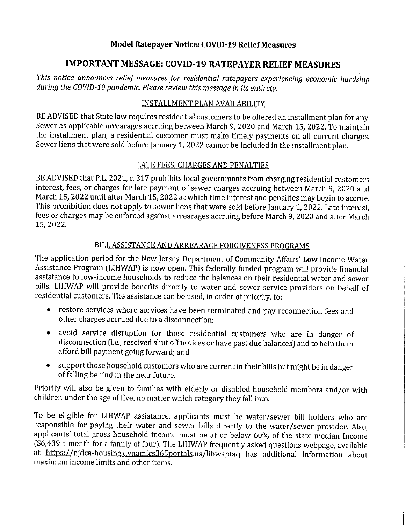# Model Ratepayer Notice: COVID-19 Relief Measures

# IMPORT ANT MESSAGE: COVID-19 RATEPAYER RELIEF MEASURES

This notice announces relief measures for residential ratepayers experiencing economic hardship during the COVID-19 pandemic. Please review this message in its entirety.

#### INSTALLMENT PLAN AVAILABILITY

BE ADVISED that State law requires residential customers to be offered an installment plan for any Sewer as applicable arrearages accruing between March 9, 2020 and March 15, 2022. To maintain the installment plan, a residential customer must make timely payments on all current charges. Sewer liens that were sold before January 1, 2022 cannot be included in the installment plan.

## LATE FEES, CHARGES AND PENALTIES

BE ADVISED that P.L. 2021, c. 317 prohibits local governments from charging residential customers interest, fees, or charges for late payment of sewer charges accruing between March 9, 2020 and March 15, 2022 until after March 15, 2022 at which time interest and penalties may begin to accrue. This prohibition does not apply to sewer liens that were sold before January 1, 2022. Late interest, fees or charges may be enforced against arrearages accruing before March 9, 2020 and after March 15, 2022.

## BILL ASSISTANCE AND ARREARAGE FORGIVENESS PROGRAMS

The application period for the New Jersey Department of Community Affairs' Low Income Water Assistance Program (LIHWAP) is now open. This federally funded program will provide financial assistance to low-income households to reduce the balances on their residential water and sewer bills. LIHWAP will provide benefits directly to water and sewer service providers on behalf of residential customers. The assistance can be used, in order of priority, to:

- \* restore services where services have been terminated and pay reconnection fees and other charges accrued due to a disconnection;
- avoid service disruption for those residential customers who are in danger of  $\bullet$ disconnection (i.e., received shut off notices or have past due balances) and to help them afford bill payment going forward; and
- \* support those household customers who are current in their bills but might be in danger of falling behind in the near future.

Priority will also be given to families with elderly or disabled household members and/or with children under the age of five, no matter which category they fall into.

To be eligible for LIHWAP assistance, applicants must be water/sewer bill holders who are responsible for paying their water and sewer bills directly to the water/sewer provider. Also, applicants' total gross household income must be at or below 60% of the state median Income (\$6,439 a month for a family of four). The LIHWAP frequently asked questions webpage, available at https://njdca-housing.dynamics365portals.us/lihwapfaq has additional information about maximum income limits and other items.